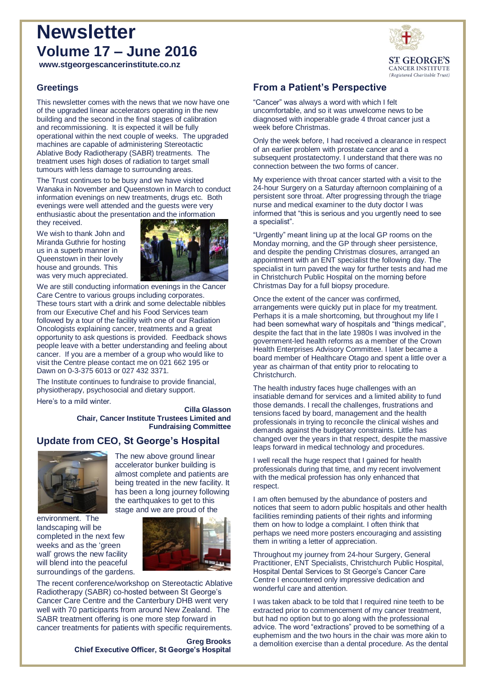# **Newsletter Volume 17 – June 2016**

**www.stgeorgescancerinstitute.co.nz**

### **Greetings**

This newsletter comes with the news that we now have one of the upgraded linear accelerators operating in the new building and the second in the final stages of calibration and recommissioning. It is expected it will be fully operational within the next couple of weeks. The upgraded machines are capable of administering Stereotactic Ablative Body Radiotherapy (SABR) treatments. The treatment uses high doses of radiation to target small tumours with less damage to surrounding areas.

The Trust continues to be busy and we have visited Wanaka in November and Queenstown in March to conduct information evenings on new treatments, drugs etc. Both evenings were well attended and the guests were very enthusiastic about the presentation and the information they received.

We wish to thank John and Miranda Guthrie for hosting us in a superb manner in Queenstown in their lovely house and grounds. This was very much appreciated.



We are still conducting information evenings in the Cancer Care Centre to various groups including corporates. These tours start with a drink and some delectable nibbles from our Executive Chef and his Food Services team followed by a tour of the facility with one of our Radiation Oncologists explaining cancer, treatments and a great opportunity to ask questions is provided. Feedback shows people leave with a better understanding and feeling about cancer. If you are a member of a group who would like to visit the Centre please contact me on 021 662 195 or Dawn on 0-3-375 6013 or 027 432 3371.

The Institute continues to fundraise to provide financial, physiotherapy, psychosocial and dietary support. Here's to a mild winter.

> **Cilla Glasson Chair, Cancer Institute Trustees Limited and Fundraising Committee**

### **Update from CEO, St George's Hospital**



The new above ground linear accelerator bunker building is almost complete and patients are being treated in the new facility. It has been a long journey following the earthquakes to get to this stage and we are proud of the

environment. The landscaping will be completed in the next few weeks and as the 'green wall' grows the new facility will blend into the peaceful surroundings of the gardens.



The recent conference/workshop on Stereotactic Ablative Radiotherapy (SABR) co-hosted between St George's Cancer Care Centre and the Canterbury DHB went very well with 70 participants from around New Zealand. The SABR treatment offering is one more step forward in cancer treatments for patients with specific requirements.

> **Greg Brooks Chief Executive Officer, St George's Hospital**



"Cancer" was always a word with which I felt uncomfortable, and so it was unwelcome news to be diagnosed with inoperable grade 4 throat cancer just a week before Christmas.

Only the week before, I had received a clearance in respect of an earlier problem with prostate cancer and a subsequent prostatectomy. I understand that there was no connection between the two forms of cancer.

My experience with throat cancer started with a visit to the 24-hour Surgery on a Saturday afternoon complaining of a persistent sore throat. After progressing through the triage nurse and medical examiner to the duty doctor I was informed that "this is serious and you urgently need to see a specialist".

"Urgently" meant lining up at the local GP rooms on the Monday morning, and the GP through sheer persistence, and despite the pending Christmas closures, arranged an appointment with an ENT specialist the following day. The specialist in turn paved the way for further tests and had me in Christchurch Public Hospital on the morning before Christmas Day for a full biopsy procedure.

Once the extent of the cancer was confirmed, arrangements were quickly put in place for my treatment. Perhaps it is a male shortcoming, but throughout my life I had been somewhat wary of hospitals and "things medical", despite the fact that in the late 1980s I was involved in the government-led health reforms as a member of the Crown Health Enterprises Advisory Committee. I later became a board member of Healthcare Otago and spent a little over a year as chairman of that entity prior to relocating to Christchurch.

The health industry faces huge challenges with an insatiable demand for services and a limited ability to fund those demands. I recall the challenges, frustrations and tensions faced by board, management and the health professionals in trying to reconcile the clinical wishes and demands against the budgetary constraints. Little has changed over the years in that respect, despite the massive leaps forward in medical technology and procedures.

I well recall the huge respect that I gained for health professionals during that time, and my recent involvement with the medical profession has only enhanced that respect.

I am often bemused by the abundance of posters and notices that seem to adorn public hospitals and other health facilities reminding patients of their rights and informing them on how to lodge a complaint. I often think that perhaps we need more posters encouraging and assisting them in writing a letter of appreciation.

Throughout my journey from 24-hour Surgery, General Practitioner, ENT Specialists, Christchurch Public Hospital, Hospital Dental Services to St George's Cancer Care Centre I encountered only impressive dedication and wonderful care and attention.

I was taken aback to be told that I required nine teeth to be extracted prior to commencement of my cancer treatment, but had no option but to go along with the professional advice. The word "extractions" proved to be something of a euphemism and the two hours in the chair was more akin to a demolition exercise than a dental procedure. As the dental